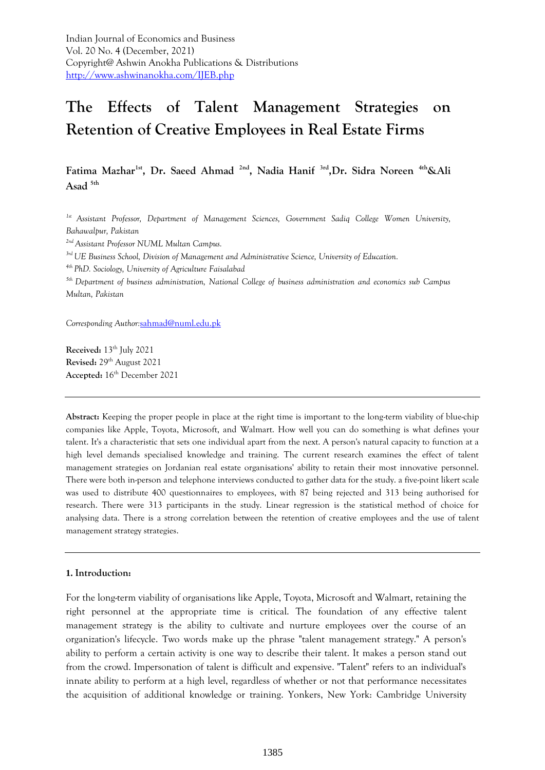**Fatima Mazhar1st, Dr. Saeed Ahmad 2nd, Nadia Hanif 3rd,Dr. Sidra Noreen 4th&Ali Asad 5th**

*1st Assistant Professor, Department of Management Sciences, Government Sadiq College Women University, Bahawalpur, Pakistan* 

*2nd Assistant Professor NUML Multan Campus.*

*3rd UE Business School, Division of Management and Administrative Science, University of Education.*

*4th PhD. Sociology, University of Agriculture Faisalabad*

*5th Department of business administration, National College of business administration and economics sub Campus Multan, Pakistan* 

*Corresponding Author:*[sahmad@numl.edu.pk](mailto:sahmad@numl.edu.pk)

**Received:** 13th July 2021 **Revised:** 29th August 2021 **Accepted:** 16th December 2021

**Abstract:** Keeping the proper people in place at the right time is important to the long-term viability of blue-chip companies like Apple, Toyota, Microsoft, and Walmart. How well you can do something is what defines your talent. It's a characteristic that sets one individual apart from the next. A person's natural capacity to function at a high level demands specialised knowledge and training. The current research examines the effect of talent management strategies on Jordanian real estate organisations' ability to retain their most innovative personnel. There were both in-person and telephone interviews conducted to gather data for the study. a five-point likert scale was used to distribute 400 questionnaires to employees, with 87 being rejected and 313 being authorised for research. There were 313 participants in the study. Linear regression is the statistical method of choice for analysing data. There is a strong correlation between the retention of creative employees and the use of talent management strategy strategies.

#### **1. Introduction:**

For the long-term viability of organisations like Apple, Toyota, Microsoft and Walmart, retaining the right personnel at the appropriate time is critical. The foundation of any effective talent management strategy is the ability to cultivate and nurture employees over the course of an organization's lifecycle. Two words make up the phrase "talent management strategy." A person's ability to perform a certain activity is one way to describe their talent. It makes a person stand out from the crowd. Impersonation of talent is difficult and expensive. "Talent" refers to an individual's innate ability to perform at a high level, regardless of whether or not that performance necessitates the acquisition of additional knowledge or training. Yonkers, New York: Cambridge University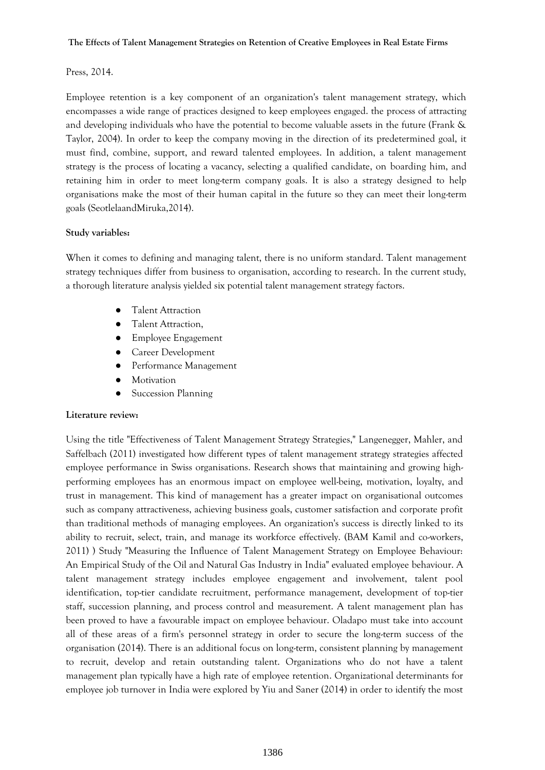# Press, 2014.

Employee retention is a key component of an organization's talent management strategy, which encompasses a wide range of practices designed to keep employees engaged. the process of attracting and developing individuals who have the potential to become valuable assets in the future (Frank & Taylor, 2004). In order to keep the company moving in the direction of its predetermined goal, it must find, combine, support, and reward talented employees. In addition, a talent management strategy is the process of locating a vacancy, selecting a qualified candidate, on boarding him, and retaining him in order to meet long-term company goals. It is also a strategy designed to help organisations make the most of their human capital in the future so they can meet their long-term goals (SeotlelaandMiruka,2014).

# **Study variables:**

When it comes to defining and managing talent, there is no uniform standard. Talent management strategy techniques differ from business to organisation, according to research. In the current study, a thorough literature analysis yielded six potential talent management strategy factors.

- **Talent Attraction**
- Talent Attraction,
- Employee Engagement
- Career Development
- Performance Management
- Motivation
- **Succession Planning**

## **Literature review:**

Using the title "Effectiveness of Talent Management Strategy Strategies," Langenegger, Mahler, and Saffelbach (2011) investigated how different types of talent management strategy strategies affected employee performance in Swiss organisations. Research shows that maintaining and growing highperforming employees has an enormous impact on employee well-being, motivation, loyalty, and trust in management. This kind of management has a greater impact on organisational outcomes such as company attractiveness, achieving business goals, customer satisfaction and corporate profit than traditional methods of managing employees. An organization's success is directly linked to its ability to recruit, select, train, and manage its workforce effectively. (BAM Kamil and co-workers, 2011) ) Study "Measuring the Influence of Talent Management Strategy on Employee Behaviour: An Empirical Study of the Oil and Natural Gas Industry in India" evaluated employee behaviour. A talent management strategy includes employee engagement and involvement, talent pool identification, top-tier candidate recruitment, performance management, development of top-tier staff, succession planning, and process control and measurement. A talent management plan has been proved to have a favourable impact on employee behaviour. Oladapo must take into account all of these areas of a firm's personnel strategy in order to secure the long-term success of the organisation (2014). There is an additional focus on long-term, consistent planning by management to recruit, develop and retain outstanding talent. Organizations who do not have a talent management plan typically have a high rate of employee retention. Organizational determinants for employee job turnover in India were explored by Yiu and Saner (2014) in order to identify the most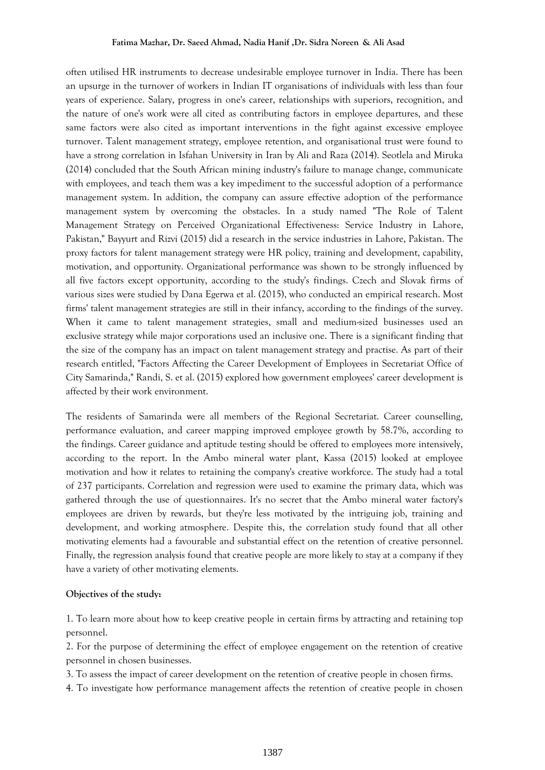often utilised HR instruments to decrease undesirable employee turnover in India. There has been an upsurge in the turnover of workers in Indian IT organisations of individuals with less than four years of experience. Salary, progress in one's career, relationships with superiors, recognition, and the nature of one's work were all cited as contributing factors in employee departures, and these same factors were also cited as important interventions in the fight against excessive employee turnover. Talent management strategy, employee retention, and organisational trust were found to have a strong correlation in Isfahan University in Iran by Ali and Raza (2014). Seotlela and Miruka (2014) concluded that the South African mining industry's failure to manage change, communicate with employees, and teach them was a key impediment to the successful adoption of a performance management system. In addition, the company can assure effective adoption of the performance management system by overcoming the obstacles. In a study named "The Role of Talent Management Strategy on Perceived Organizational Effectiveness: Service Industry in Lahore, Pakistan," Bayyurt and Rizvi (2015) did a research in the service industries in Lahore, Pakistan. The proxy factors for talent management strategy were HR policy, training and development, capability, motivation, and opportunity. Organizational performance was shown to be strongly influenced by all five factors except opportunity, according to the study's findings. Czech and Slovak firms of various sizes were studied by Dana Egerwa et al. (2015), who conducted an empirical research. Most firms' talent management strategies are still in their infancy, according to the findings of the survey. When it came to talent management strategies, small and medium-sized businesses used an exclusive strategy while major corporations used an inclusive one. There is a significant finding that the size of the company has an impact on talent management strategy and practise. As part of their research entitled, "Factors Affecting the Career Development of Employees in Secretariat Office of City Samarinda," Randi, S. et al. (2015) explored how government employees' career development is affected by their work environment.

The residents of Samarinda were all members of the Regional Secretariat. Career counselling, performance evaluation, and career mapping improved employee growth by 58.7%, according to the findings. Career guidance and aptitude testing should be offered to employees more intensively, according to the report. In the Ambo mineral water plant, Kassa (2015) looked at employee motivation and how it relates to retaining the company's creative workforce. The study had a total of 237 participants. Correlation and regression were used to examine the primary data, which was gathered through the use of questionnaires. It's no secret that the Ambo mineral water factory's employees are driven by rewards, but they're less motivated by the intriguing job, training and development, and working atmosphere. Despite this, the correlation study found that all other motivating elements had a favourable and substantial effect on the retention of creative personnel. Finally, the regression analysis found that creative people are more likely to stay at a company if they have a variety of other motivating elements.

## **Objectives of the study:**

1. To learn more about how to keep creative people in certain firms by attracting and retaining top personnel.

2. For the purpose of determining the effect of employee engagement on the retention of creative personnel in chosen businesses.

3. To assess the impact of career development on the retention of creative people in chosen firms.

4. To investigate how performance management affects the retention of creative people in chosen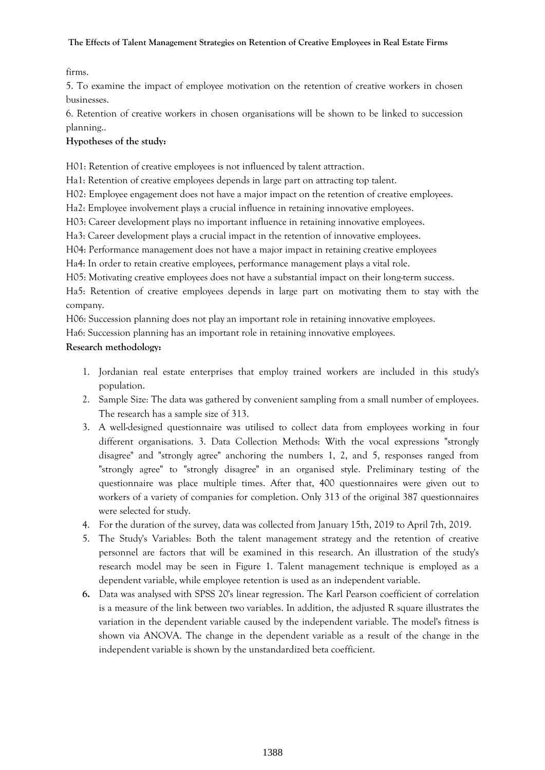firms.

5. To examine the impact of employee motivation on the retention of creative workers in chosen businesses.

6. Retention of creative workers in chosen organisations will be shown to be linked to succession planning..

# **Hypotheses of the study:**

H01: Retention of creative employees is not influenced by talent attraction.

Ha1: Retention of creative employees depends in large part on attracting top talent.

H02: Employee engagement does not have a major impact on the retention of creative employees.

Ha2: Employee involvement plays a crucial influence in retaining innovative employees.

H03: Career development plays no important influence in retaining innovative employees.

Ha3: Career development plays a crucial impact in the retention of innovative employees.

H04: Performance management does not have a major impact in retaining creative employees

Ha4: In order to retain creative employees, performance management plays a vital role.

H05: Motivating creative employees does not have a substantial impact on their long-term success.

Ha5: Retention of creative employees depends in large part on motivating them to stay with the company.

H06: Succession planning does not play an important role in retaining innovative employees.

Ha6: Succession planning has an important role in retaining innovative employees.

# **Research methodology:**

- 1. Jordanian real estate enterprises that employ trained workers are included in this study's population.
- 2. Sample Size: The data was gathered by convenient sampling from a small number of employees. The research has a sample size of 313.
- 3. A well-designed questionnaire was utilised to collect data from employees working in four different organisations. 3. Data Collection Methods: With the vocal expressions "strongly disagree" and "strongly agree" anchoring the numbers 1, 2, and 5, responses ranged from "strongly agree" to "strongly disagree" in an organised style. Preliminary testing of the questionnaire was place multiple times. After that, 400 questionnaires were given out to workers of a variety of companies for completion. Only 313 of the original 387 questionnaires were selected for study.
- 4. For the duration of the survey, data was collected from January 15th, 2019 to April 7th, 2019.
- 5. The Study's Variables: Both the talent management strategy and the retention of creative personnel are factors that will be examined in this research. An illustration of the study's research model may be seen in Figure 1. Talent management technique is employed as a dependent variable, while employee retention is used as an independent variable.
- **6.** Data was analysed with SPSS 20's linear regression. The Karl Pearson coefficient of correlation is a measure of the link between two variables. In addition, the adjusted R square illustrates the variation in the dependent variable caused by the independent variable. The model's fitness is shown via ANOVA. The change in the dependent variable as a result of the change in the independent variable is shown by the unstandardized beta coefficient.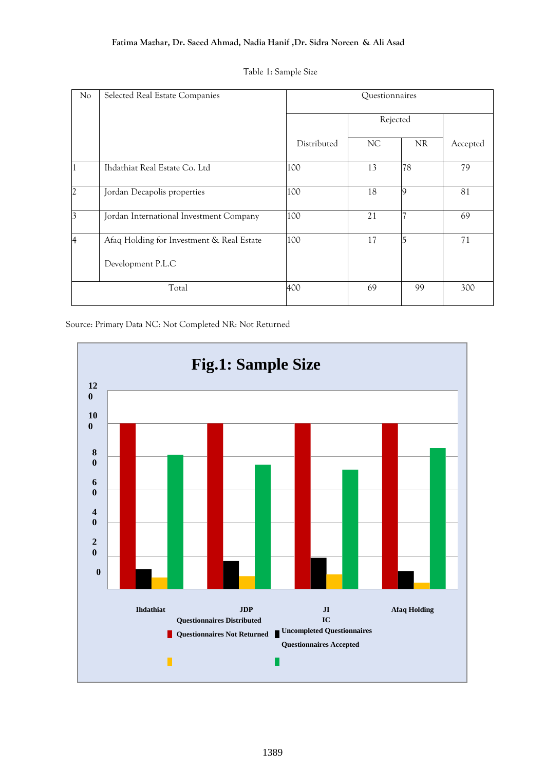| No             | Selected Real Estate Companies                                 |             | Questionnaires |           |          |
|----------------|----------------------------------------------------------------|-------------|----------------|-----------|----------|
|                |                                                                |             | Rejected       |           |          |
|                |                                                                | Distributed | NC             | <b>NR</b> | Accepted |
| $\mathbf{1}$   | Ihdathiat Real Estate Co. Ltd                                  | 100         | 13             | 78        | 79       |
| 2              | Jordan Decapolis properties                                    | 100         | 18             | $\circ$   | 81       |
| $\vert$ 3      | Jordan International Investment Company                        | 100         | 21             |           | 69       |
| $\overline{4}$ | Afaq Holding for Investment & Real Estate<br>Development P.L.C | 100         | 17             | 5         | 71       |
|                | Total                                                          | 400         | 69             | 99        | 300      |

|  |  | Table 1: Sample Size |  |
|--|--|----------------------|--|
|--|--|----------------------|--|

Source: Primary Data NC: Not Completed NR: Not Returned

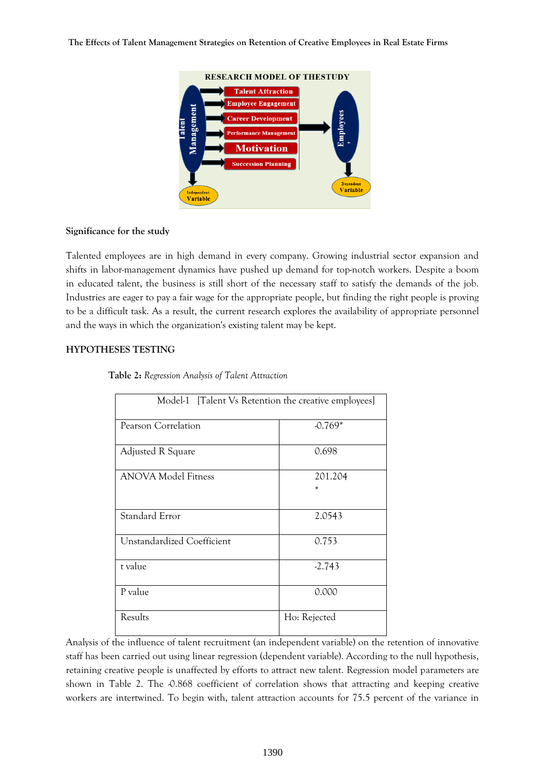

### **Significance for the study**

Talented employees are in high demand in every company. Growing industrial sector expansion and shifts in labor-management dynamics have pushed up demand for top-notch workers. Despite a boom in educated talent, the business is still short of the necessary staff to satisfy the demands of the job. Industries are eager to pay a fair wage for the appropriate people, but finding the right people is proving to be a difficult task. As a result, the current research explores the availability of appropriate personnel and the ways in which the organization's existing talent may be kept.

## **HYPOTHESES TESTING**

| Model-1 [Talent Vs Retention the creative employees] |                    |  |
|------------------------------------------------------|--------------------|--|
| Pearson Correlation                                  | $-0.769*$          |  |
| Adjusted R Square                                    | 0.698              |  |
| <b>ANOVA Model Fitness</b>                           | 201.204<br>$\star$ |  |
| Standard Error                                       | 2.0543             |  |
| Unstandardized Coefficient                           | 0.753              |  |
| t value                                              | $-2.743$           |  |
| P value                                              | 0.000              |  |
| Results                                              | Ho: Rejected       |  |

### **Table 2:** *Regression Analysis of Talent Attraction*

Analysis of the influence of talent recruitment (an independent variable) on the retention of innovative staff has been carried out using linear regression (dependent variable). According to the null hypothesis, retaining creative people is unaffected by efforts to attract new talent. Regression model parameters are shown in Table 2. The -0.868 coefficient of correlation shows that attracting and keeping creative workers are intertwined. To begin with, talent attraction accounts for 75.5 percent of the variance in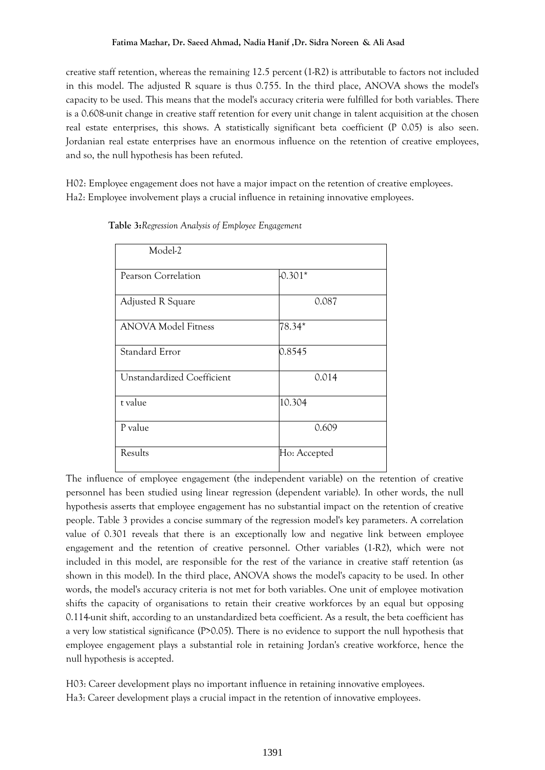creative staff retention, whereas the remaining 12.5 percent (1-R2) is attributable to factors not included in this model. The adjusted R square is thus 0.755. In the third place, ANOVA shows the model's capacity to be used. This means that the model's accuracy criteria were fulfilled for both variables. There is a 0.608-unit change in creative staff retention for every unit change in talent acquisition at the chosen real estate enterprises, this shows. A statistically significant beta coefficient (P 0.05) is also seen. Jordanian real estate enterprises have an enormous influence on the retention of creative employees, and so, the null hypothesis has been refuted.

H02: Employee engagement does not have a major impact on the retention of creative employees. Ha2: Employee involvement plays a crucial influence in retaining innovative employees.

| Model-2                    |              |
|----------------------------|--------------|
|                            |              |
| Pearson Correlation        | $-0.301*$    |
|                            |              |
| Adjusted R Square          | 0.087        |
|                            |              |
| <b>ANOVA Model Fitness</b> | 78.34*       |
|                            |              |
| Standard Error             | 0.8545       |
|                            |              |
| Unstandardized Coefficient | 0.014        |
|                            |              |
| t value                    | 10.304       |
|                            |              |
| P value                    | 0.609        |
|                            |              |
| Results                    | Ho: Accepted |
|                            |              |

**Table 3:***Regression Analysis of Employee Engagement*

The influence of employee engagement (the independent variable) on the retention of creative personnel has been studied using linear regression (dependent variable). In other words, the null hypothesis asserts that employee engagement has no substantial impact on the retention of creative people. Table 3 provides a concise summary of the regression model's key parameters. A correlation value of 0.301 reveals that there is an exceptionally low and negative link between employee engagement and the retention of creative personnel. Other variables (1-R2), which were not included in this model, are responsible for the rest of the variance in creative staff retention (as shown in this model). In the third place, ANOVA shows the model's capacity to be used. In other words, the model's accuracy criteria is not met for both variables. One unit of employee motivation shifts the capacity of organisations to retain their creative workforces by an equal but opposing 0.114-unit shift, according to an unstandardized beta coefficient. As a result, the beta coefficient has a very low statistical significance (P>0.05). There is no evidence to support the null hypothesis that employee engagement plays a substantial role in retaining Jordan's creative workforce, hence the null hypothesis is accepted.

H03: Career development plays no important influence in retaining innovative employees. Ha3: Career development plays a crucial impact in the retention of innovative employees.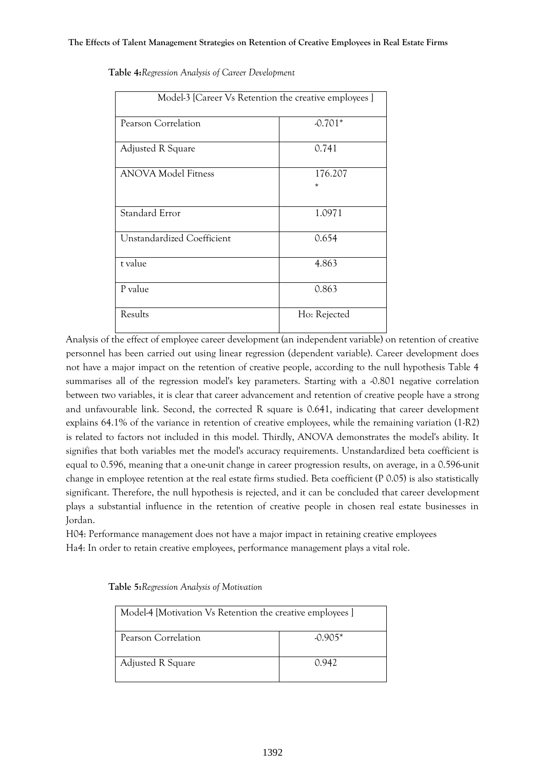| Model-3 [Career Vs Retention the creative employees] |                    |  |
|------------------------------------------------------|--------------------|--|
| Pearson Correlation                                  | $-0.701*$          |  |
| Adjusted R Square                                    | 0.741              |  |
| <b>ANOVA Model Fitness</b>                           | 176.207<br>$\star$ |  |
| Standard Error                                       | 1.0971             |  |
| Unstandardized Coefficient                           | 0.654              |  |
| t value                                              | 4.863              |  |
| P value                                              | 0.863              |  |
| Results                                              | Ho: Rejected       |  |

**Table 4:***Regression Analysis of Career Development*

Analysis of the effect of employee career development (an independent variable) on retention of creative personnel has been carried out using linear regression (dependent variable). Career development does not have a major impact on the retention of creative people, according to the null hypothesis Table 4 summarises all of the regression model's key parameters. Starting with a  $-0.801$  negative correlation between two variables, it is clear that career advancement and retention of creative people have a strong and unfavourable link. Second, the corrected R square is 0.641, indicating that career development explains 64.1% of the variance in retention of creative employees, while the remaining variation (1-R2) is related to factors not included in this model. Thirdly, ANOVA demonstrates the model's ability. It signifies that both variables met the model's accuracy requirements. Unstandardized beta coefficient is equal to 0.596, meaning that a one-unit change in career progression results, on average, in a 0.596-unit change in employee retention at the real estate firms studied. Beta coefficient (P 0.05) is also statistically significant. Therefore, the null hypothesis is rejected, and it can be concluded that career development plays a substantial influence in the retention of creative people in chosen real estate businesses in Jordan.

H04: Performance management does not have a major impact in retaining creative employees Ha4: In order to retain creative employees, performance management plays a vital role.

| Model-4 [Motivation Vs Retention the creative employees ] |           |  |
|-----------------------------------------------------------|-----------|--|
| Pearson Correlation                                       | $-0.905*$ |  |
| <b>Adjusted R Square</b>                                  | 0.942     |  |

#### **Table 5:***Regression Analysis of Motivation*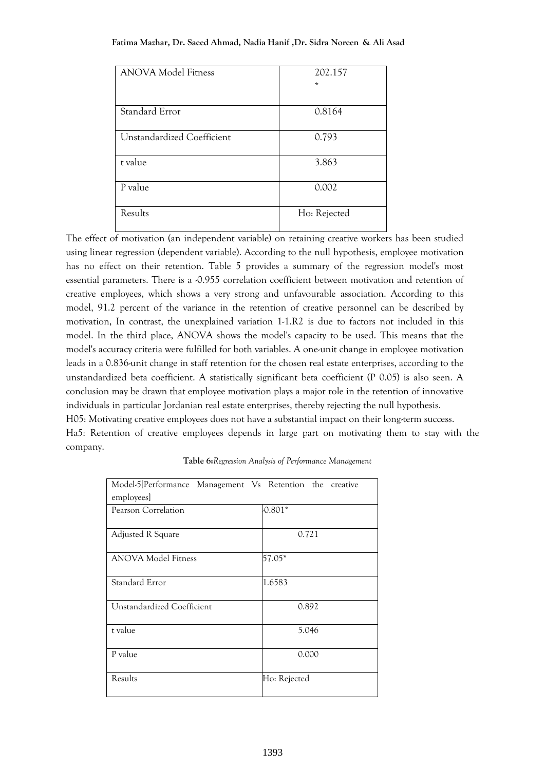#### **Fatima Mazhar, Dr. Saeed Ahmad, Nadia Hanif ,Dr. Sidra Noreen & Ali Asad**

| <b>ANOVA Model Fitness</b> | 202.157      |
|----------------------------|--------------|
|                            | $\star$      |
|                            |              |
| Standard Error             | 0.8164       |
|                            |              |
| Unstandardized Coefficient | 0.793        |
|                            |              |
| t value                    | 3.863        |
|                            |              |
| P value                    | 0.002        |
|                            |              |
| Results                    | Ho: Rejected |
|                            |              |

The effect of motivation (an independent variable) on retaining creative workers has been studied using linear regression (dependent variable). According to the null hypothesis, employee motivation has no effect on their retention. Table 5 provides a summary of the regression model's most essential parameters. There is a -0.955 correlation coefficient between motivation and retention of creative employees, which shows a very strong and unfavourable association. According to this model, 91.2 percent of the variance in the retention of creative personnel can be described by motivation, In contrast, the unexplained variation 1-1.R2 is due to factors not included in this model. In the third place, ANOVA shows the model's capacity to be used. This means that the model's accuracy criteria were fulfilled for both variables. A one-unit change in employee motivation leads in a 0.836-unit change in staff retention for the chosen real estate enterprises, according to the unstandardized beta coefficient. A statistically significant beta coefficient (P 0.05) is also seen. A conclusion may be drawn that employee motivation plays a major role in the retention of innovative individuals in particular Jordanian real estate enterprises, thereby rejecting the null hypothesis. H05: Motivating creative employees does not have a substantial impact on their long-term success. Ha5: Retention of creative employees depends in large part on motivating them to stay with the company.

| Model-5[Performance Management Vs Retention the creative |              |
|----------------------------------------------------------|--------------|
| employees]                                               |              |
| Pearson Correlation                                      | $0.801*$     |
|                                                          |              |
| Adjusted R Square                                        | 0.721        |
|                                                          |              |
| <b>ANOVA Model Fitness</b>                               | 57.05*       |
|                                                          |              |
| Standard Error                                           | 1.6583       |
|                                                          |              |
| Unstandardized Coefficient                               | 0.892        |
|                                                          |              |
| t value                                                  | 5.046        |
|                                                          |              |
| P value                                                  | 0.000        |
|                                                          |              |
| Results                                                  | Ho: Rejected |
|                                                          |              |

### **Table 6:***Regression Analysis of Performance Management*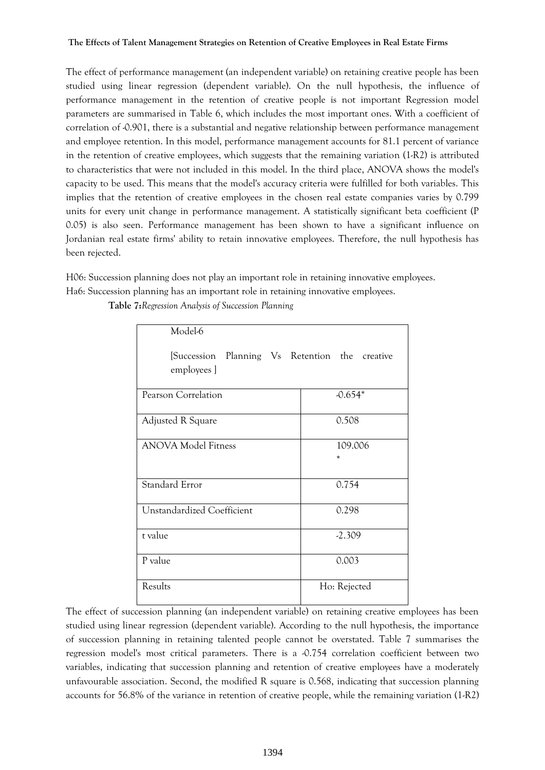The effect of performance management (an independent variable) on retaining creative people has been studied using linear regression (dependent variable). On the null hypothesis, the influence of performance management in the retention of creative people is not important Regression model parameters are summarised in Table 6, which includes the most important ones. With a coefficient of correlation of -0.901, there is a substantial and negative relationship between performance management and employee retention. In this model, performance management accounts for 81.1 percent of variance in the retention of creative employees, which suggests that the remaining variation (1-R2) is attributed to characteristics that were not included in this model. In the third place, ANOVA shows the model's capacity to be used. This means that the model's accuracy criteria were fulfilled for both variables. This implies that the retention of creative employees in the chosen real estate companies varies by 0.799 units for every unit change in performance management. A statistically significant beta coefficient (P 0.05) is also seen. Performance management has been shown to have a significant influence on Jordanian real estate firms' ability to retain innovative employees. Therefore, the null hypothesis has been rejected.

H06: Succession planning does not play an important role in retaining innovative employees. Ha6: Succession planning has an important role in retaining innovative employees.

| Model-6                                                       |                   |
|---------------------------------------------------------------|-------------------|
| [Succession Planning Vs Retention the creative<br>employees ] |                   |
| Pearson Correlation                                           | $-0.654*$         |
| Adjusted R Square                                             | 0.508             |
| <b>ANOVA Model Fitness</b>                                    | 109.006<br>$\ast$ |
| <b>Standard Error</b>                                         | 0.754             |
| Unstandardized Coefficient                                    | 0.298             |
| t value                                                       | $-2.309$          |
| P value                                                       | 0.003             |
| Results                                                       | Ho: Rejected      |

**Table 7:***Regression Analysis of Succession Planning*

The effect of succession planning (an independent variable) on retaining creative employees has been studied using linear regression (dependent variable). According to the null hypothesis, the importance of succession planning in retaining talented people cannot be overstated. Table 7 summarises the regression model's most critical parameters. There is a -0.754 correlation coefficient between two variables, indicating that succession planning and retention of creative employees have a moderately unfavourable association. Second, the modified R square is 0.568, indicating that succession planning accounts for 56.8% of the variance in retention of creative people, while the remaining variation (1-R2)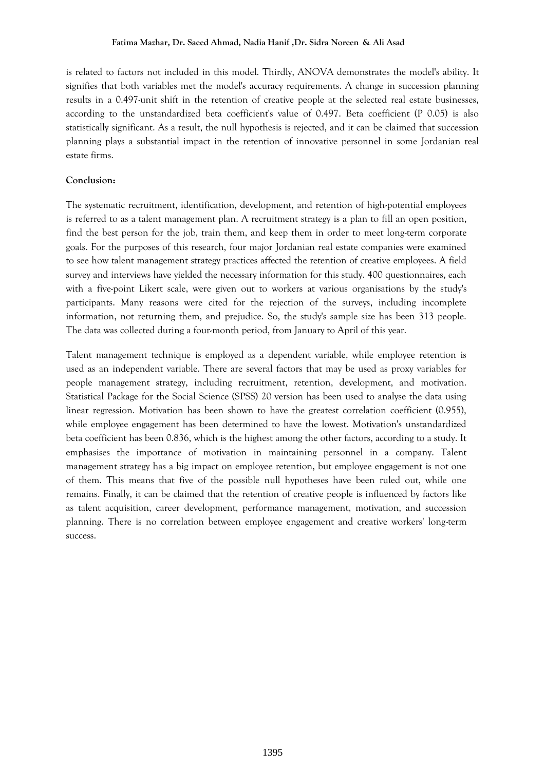#### **Fatima Mazhar, Dr. Saeed Ahmad, Nadia Hanif ,Dr. Sidra Noreen & Ali Asad**

is related to factors not included in this model. Thirdly, ANOVA demonstrates the model's ability. It signifies that both variables met the model's accuracy requirements. A change in succession planning results in a 0.497-unit shift in the retention of creative people at the selected real estate businesses, according to the unstandardized beta coefficient's value of 0.497. Beta coefficient (P 0.05) is also statistically significant. As a result, the null hypothesis is rejected, and it can be claimed that succession planning plays a substantial impact in the retention of innovative personnel in some Jordanian real estate firms.

## **Conclusion:**

The systematic recruitment, identification, development, and retention of high-potential employees is referred to as a talent management plan. A recruitment strategy is a plan to fill an open position, find the best person for the job, train them, and keep them in order to meet long-term corporate goals. For the purposes of this research, four major Jordanian real estate companies were examined to see how talent management strategy practices affected the retention of creative employees. A field survey and interviews have yielded the necessary information for this study. 400 questionnaires, each with a five-point Likert scale, were given out to workers at various organisations by the study's participants. Many reasons were cited for the rejection of the surveys, including incomplete information, not returning them, and prejudice. So, the study's sample size has been 313 people. The data was collected during a four-month period, from January to April of this year.

Talent management technique is employed as a dependent variable, while employee retention is used as an independent variable. There are several factors that may be used as proxy variables for people management strategy, including recruitment, retention, development, and motivation. Statistical Package for the Social Science (SPSS) 20 version has been used to analyse the data using linear regression. Motivation has been shown to have the greatest correlation coefficient (0.955), while employee engagement has been determined to have the lowest. Motivation's unstandardized beta coefficient has been 0.836, which is the highest among the other factors, according to a study. It emphasises the importance of motivation in maintaining personnel in a company. Talent management strategy has a big impact on employee retention, but employee engagement is not one of them. This means that five of the possible null hypotheses have been ruled out, while one remains. Finally, it can be claimed that the retention of creative people is influenced by factors like as talent acquisition, career development, performance management, motivation, and succession planning. There is no correlation between employee engagement and creative workers' long-term success.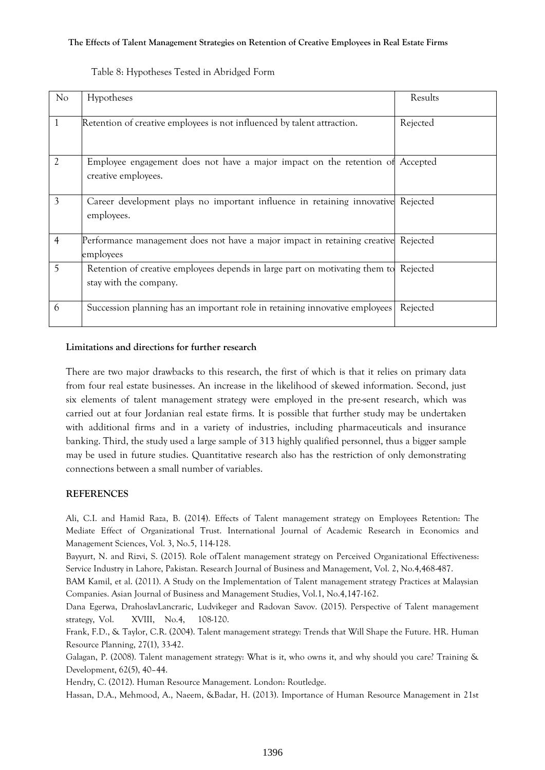| No             | Hypotheses                                                                                            | Results  |
|----------------|-------------------------------------------------------------------------------------------------------|----------|
| 1              | Retention of creative employees is not influenced by talent attraction.                               | Rejected |
| $\overline{2}$ | Employee engagement does not have a major impact on the retention of Accepted<br>creative employees.  |          |
| 3              | Career development plays no important influence in retaining innovative<br>employees.                 | Rejected |
| $\overline{4}$ | Performance management does not have a major impact in retaining creative<br>employees                | Rejected |
| 5              | Retention of creative employees depends in large part on motivating them to<br>stay with the company. | Rejected |
| 6              | Succession planning has an important role in retaining innovative employees                           | Rejected |

Table 8: Hypotheses Tested in Abridged Form

## **Limitations and directions for further research**

There are two major drawbacks to this research, the first of which is that it relies on primary data from four real estate businesses. An increase in the likelihood of skewed information. Second, just six elements of talent management strategy were employed in the pre-sent research, which was carried out at four Jordanian real estate firms. It is possible that further study may be undertaken with additional firms and in a variety of industries, including pharmaceuticals and insurance banking. Third, the study used a large sample of 313 highly qualified personnel, thus a bigger sample may be used in future studies. Quantitative research also has the restriction of only demonstrating connections between a small number of variables.

## **REFERENCES**

Ali, C.I. and Hamid Raza, B. (2014). Effects of Talent management strategy on Employees Retention: The Mediate Effect of Organizational Trust. International Journal of Academic Research in Economics and Management Sciences, Vol. 3, No.5, 114-128.

Bayyurt, N. and Rizvi, S. (2015). Role ofTalent management strategy on Perceived Organizational Effectiveness: Service Industry in Lahore, Pakistan. Research Journal of Business and Management, Vol. 2, No.4,468-487.

BAM Kamil, et al. (2011). A Study on the Implementation of Talent management strategy Practices at Malaysian Companies. Asian Journal of Business and Management Studies, Vol.1, No.4,147-162.

Dana Egerwa, DrahoslavLancraric, Ludvikeger and Radovan Savov. (2015). Perspective of Talent management strategy, Vol. XVIII, No.4, 108-120.

Frank, F.D., & Taylor, C.R. (2004). Talent management strategy: Trends that Will Shape the Future. HR. Human Resource Planning, 27(1), 33-42.

Galagan, P. (2008). Talent management strategy: What is it, who owns it, and why should you care? Training & Development, 62(5), 40–44.

Hendry, C. (2012). Human Resource Management. London: Routledge.

Hassan, D.A., Mehmood, A., Naeem, &Badar, H. (2013). Importance of Human Resource Management in 21st